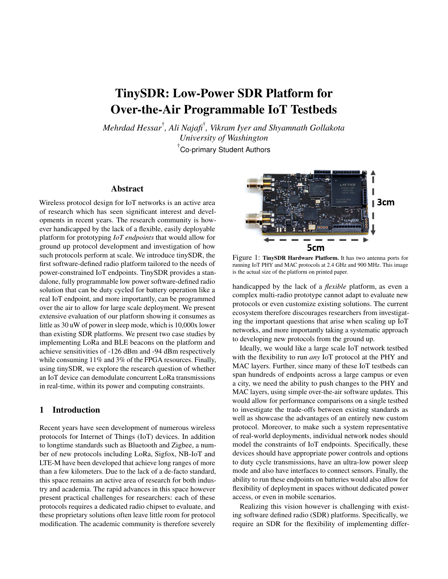# TinySDR: Low-Power SDR Platform for Over-the-Air Programmable IoT Testbeds

*Mehrdad Hessar*† *, Ali Najafi*† *, Vikram Iyer and Shyamnath Gollakota University of Washington* † Co-primary Student Authors

## Abstract

Wireless protocol design for IoT networks is an active area of research which has seen significant interest and developments in recent years. The research community is however handicapped by the lack of a flexible, easily deployable platform for prototyping *IoT endpoints* that would allow for ground up protocol development and investigation of how such protocols perform at scale. We introduce tinySDR, the first software-defined radio platform tailored to the needs of power-constrained IoT endpoints. TinySDR provides a standalone, fully programmable low power software-defined radio solution that can be duty cycled for battery operation like a real IoT endpoint, and more importantly, can be programmed over the air to allow for large scale deployment. We present extensive evaluation of our platform showing it consumes as little as 30 uW of power in sleep mode, which is 10,000x lower than existing SDR platforms. We present two case studies by implementing LoRa and BLE beacons on the platform and achieve sensitivities of -126 dBm and -94 dBm respectively while consuming 11% and 3% of the FPGA resources. Finally, using tinySDR, we explore the research question of whether an IoT device can demodulate concurrent LoRa transmissions in real-time, within its power and computing constraints.

# 1 Introduction

Recent years have seen development of numerous wireless protocols for Internet of Things (IoT) devices. In addition to longtime standards such as Bluetooth and Zigbee, a number of new protocols including LoRa, Sigfox, NB-IoT and LTE-M have been developed that achieve long ranges of more than a few kilometers. Due to the lack of a de-facto standard, this space remains an active area of research for both industry and academia. The rapid advances in this space however present practical challenges for researchers: each of these protocols requires a dedicated radio chipset to evaluate, and these proprietary solutions often leave little room for protocol modification. The academic community is therefore severely

<span id="page-0-0"></span>

Figure 1: TinySDR Hardware Platform. It has two antenna ports for running IoT PHY and MAC protocols at 2.4 GHz and 900 MHz. This image is the actual size of the platform on printed paper.

handicapped by the lack of a *flexible* platform, as even a complex multi-radio prototype cannot adapt to evaluate new protocols or even customize existing solutions. The current ecosystem therefore discourages researchers from investigating the important questions that arise when scaling up IoT networks, and more importantly taking a systematic approach to developing new protocols from the ground up.

Ideally, we would like a large scale IoT network testbed with the flexibility to run *any* IoT protocol at the PHY and MAC layers. Further, since many of these IoT testbeds can span hundreds of endpoints across a large campus or even a city, we need the ability to push changes to the PHY and MAC layers, using simple over-the-air software updates. This would allow for performance comparisons on a single testbed to investigate the trade-offs between existing standards as well as showcase the advantages of an entirely new custom protocol. Moreover, to make such a system representative of real-world deployments, individual network nodes should model the constraints of IoT endpoints. Specifically, these devices should have appropriate power controls and options to duty cycle transmissions, have an ultra-low power sleep mode and also have interfaces to connect sensors. Finally, the ability to run these endpoints on batteries would also allow for flexibility of deployment in spaces without dedicated power access, or even in mobile scenarios.

Realizing this vision however is challenging with existing software defined radio (SDR) platforms. Specifically, we require an SDR for the flexibility of implementing differ-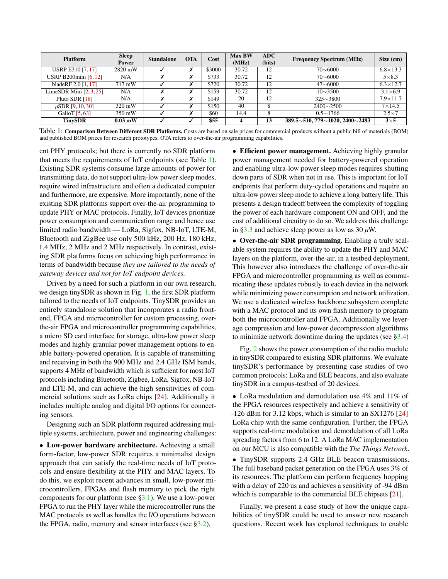<span id="page-1-0"></span>

| <b>Platform</b>              | <b>Sleep</b><br><b>Power</b> | <b>Standalone</b> | <b>OTA</b> | Cost   | <b>Max BW</b><br>(MHz) | <b>ADC</b><br>(bits) | <b>Frequency Spectrum (MHz)</b>                      | Size (cm)         |
|------------------------------|------------------------------|-------------------|------------|--------|------------------------|----------------------|------------------------------------------------------|-------------------|
| <b>USRP E310 [7, 17]</b>     | 2820 mW                      |                   | х          | \$3000 | 30.72                  | 12                   | $70\sim 6000$                                        | $6.8 \times 13.3$ |
| <b>USRP B200mini [6, 12]</b> | N/A                          |                   | ↗          | \$733  | 30.72                  | 12                   | $70\sim 6000$                                        | $5\times8.3$      |
| bladeRF 2.0 [1, 17]          | 717 mW                       |                   | ↗          | \$720  | 30.72                  | 12                   | $47 \sim 6000$                                       | $6.3 \times 12.7$ |
| LimeSDR Mini $[2, 3, 25]$    | N/A                          |                   | х          | \$159  | 30.72                  | 12                   | $10 \sim 3500$                                       | $3.1\times6.9$    |
| Pluto SDR [18]               | N/A                          |                   | х          | \$149  | 20                     | 12                   | $325 \sim 3800$                                      | $7.9 \times 11.7$ |
| $\mu$ SDR [9, 10, 30]        | 320 mW                       |                   | х          | \$150  | 40                     | 8                    | $2400 \sim 2500$                                     | $7\times14.5$     |
| GalioT [5, 63]               | 350 mW                       |                   | х          | \$60   | 14.4                   | 8                    | $0.5 \sim 1766$                                      | $2.5 \times 7$    |
| <b>TinvSDR</b>               | $0.03$ mW                    |                   | ✓          | \$55   | 4                      | 13                   | $389.5 \sim 510$ , 779 $\sim$ 1020, 2400 $\sim$ 2483 | $3\times 5$       |

Table 1: Comparison Between Different SDR Platforms. Costs are based on sale prices for commercial products without a public bill of materials (BOM) and published BOM prices for research prototypes. OTA refers to over-the-air programming capabilities.

ent PHY protocols; but there is currently no SDR platform that meets the requirements of IoT endpoints (see Table [1\)](#page-1-0). Existing SDR systems consume large amounts of power for transmitting data, do not support ultra-low power sleep modes, require wired infrastructure and often a dedicated computer and furthermore, are expensive. More importantly, none of the existing SDR platforms support over-the-air programming to update PHY or MAC protocols. Finally, IoT devices prioritize power consumption and communication range and hence use limited radio bandwidth — LoRa, Sigfox, NB-IoT, LTE-M, Bluetooth and ZigBee use only 500 kHz, 200 Hz, 180 kHz, 1.4 MHz, 2 MHz and 2 MHz respectively. In contrast, existing SDR platforms focus on achieving high performance in terms of bandwidth because *they are tailored to the needs of gateway devices and not for IoT endpoint devices.*

Driven by a need for such a platform in our own research, we design tinySDR as shown in Fig. [1,](#page-0-0) the first SDR platform tailored to the needs of IoT endpoints. TinySDR provides an entirely standalone solution that incorporates a radio frontend, FPGA and microcontroller for custom processing, overthe-air FPGA and microcontroller programming capabilities, a micro SD card interface for storage, ultra-low power sleep modes and highly granular power management options to enable battery-powered operation. It is capable of transmitting and receiving in both the 900 MHz and 2.4 GHz ISM bands, supports 4 MHz of bandwidth which is sufficient for most IoT protocols including Bluetooth, Zigbee, LoRa, Sigfox, NB-IoT and LTE-M, and can achieve the high sensitivities of commercial solutions such as LoRa chips [\[24\]](#page-13-7). Additionally it includes multiple analog and digital I/O options for connecting sensors.

Designing such an SDR platform required addressing multiple systems, architecture, power and engineering challenges:

• Low-power hardware architecture. Achieving a small form-factor, low-power SDR requires a minimalist design approach that can satisfy the real-time needs of IoT protocols and ensure flexibility at the PHY and MAC layers. To do this, we exploit recent advances in small, low-power microcontrollers, FPGAs and flash memory to pick the right components for our platform (see [§3.1\)](#page-2-0). We use a low-power FPGA to run the PHY layer while the microcontroller runs the MAC protocols as well as handles the I/O operations between the FPGA, radio, memory and sensor interfaces (see  $\S 3.2$ ).

• Efficient power management. Achieving highly granular power management needed for battery-powered operation and enabling ultra-low power sleep modes requires shutting down parts of SDR when not in use. This is important for IoT endpoints that perform duty-cycled operations and require an ultra-low power sleep mode to achieve a long battery life. This presents a design tradeoff between the complexity of toggling the power of each hardware component ON and OFF, and the cost of additional circuitry to do so. We address this challenge in [§3.3](#page-5-0) and achieve sleep power as low as 30  $\mu$ W.

• Over-the-air SDR programming. Enabling a truly scalable system requires the ability to update the PHY and MAC layers on the platform, over-the-air, in a testbed deployment. This however also introduces the challenge of over-the-air FPGA and microcontroller programming as well as communicating these updates robustly to each device in the network while minimizing power consumption and network utilization. We use a dedicated wireless backbone subsystem complete with a MAC protocol and its own flash memory to program both the microcontroller and FPGA. Additionally we leverage compression and low-power decompression algorithms to minimize network downtime during the updates (see [§3.4\)](#page-6-0)

Fig. [2](#page-2-1) shows the power consumption of the radio module in tinySDR compared to existing SDR platforms. We evaluate tinySDR's performance by presenting case studies of two common protocols: LoRa and BLE beacons, and also evaluate tinySDR in a campus-testbed of 20 devices.

• LoRa modulation and demodulation use 4% and 11% of the FPGA resources respectively and achieve a sensitivity of -126 dBm for 3.12 kbps, which is similar to an SX1276 [\[24\]](#page-13-7) LoRa chip with the same configuration. Further, the FPGA supports real-time modulation and demodulation of all LoRa spreading factors from 6 to 12. A LoRa MAC implementation on our MCU is also compatible with the *The Things Network*.

• TinySDR supports 2.4 GHz BLE beacon transmissions. The full baseband packet generation on the FPGA uses 3% of its resources. The platform can perform frequency hopping with a delay of 220 us and achieves a sensitivity of -94 dBm which is comparable to the commercial BLE chipsets [\[21\]](#page-13-8).

Finally, we present a case study of how the unique capabilities of tinySDR could be used to answer new research questions. Recent work has explored techniques to enable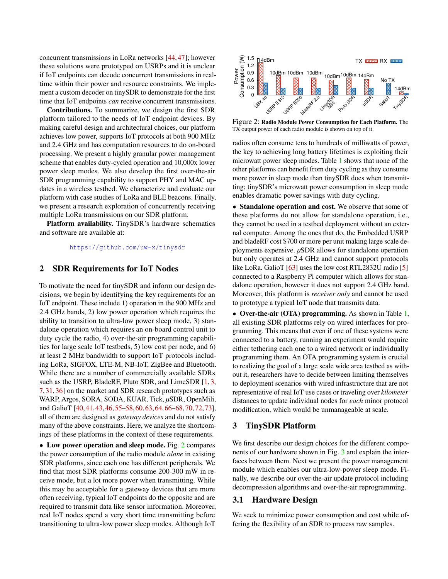concurrent transmissions in LoRa networks [\[44,](#page-14-0) [47\]](#page-14-1); however these solutions were prototyped on USRPs and it is unclear if IoT endpoints can decode concurrent transmissions in realtime within their power and resource constraints. We implement a custom decoder on tinySDR to demonstrate for the first time that IoT endpoints *can* receive concurrent transmissions.

Contributions. To summarize, we design the first SDR platform tailored to the needs of IoT endpoint devices. By making careful design and architectural choices, our platform achieves low power, supports IoT protocols at both 900 MHz and 2.4 GHz and has computation resources to do on-board processing. We present a highly granular power management scheme that enables duty-cycled operation and 10,000x lower power sleep modes. We also develop the first over-the-air SDR programming capability to support PHY and MAC updates in a wireless testbed. We characterize and evaluate our platform with case studies of LoRa and BLE beacons. Finally, we present a research exploration of concurrently receiving multiple LoRa transmissions on our SDR platform.

Platform availability. TinySDR's hardware schematics and software are available at:

<https://github.com/uw-x/tinysdr>

# 2 SDR Requirements for IoT Nodes

To motivate the need for tinySDR and inform our design decisions, we begin by identifying the key requirements for an IoT endpoint. These include 1) operation in the 900 MHz and 2.4 GHz bands, 2) low power operation which requires the ability to transition to ultra-low power sleep mode, 3) standalone operation which requires an on-board control unit to duty cycle the radio, 4) over-the-air programming capabilities for large scale IoT testbeds, 5) low cost per node, and 6) at least 2 MHz bandwidth to support IoT protocols including LoRa, SIGFOX, LTE-M, NB-IoT, ZigBee and Bluetooth. While there are a number of commercially available SDRs such as the USRP, BladeRF, Pluto SDR, and LimeSDR [\[1,](#page-12-2)[3,](#page-12-4) [7,](#page-12-0) [31,](#page-13-9) [36\]](#page-13-10) on the market and SDR research prototypes such as WARP, Argos, SORA, SODA, KUAR, Tick, *µ*SDR, OpenMili, and GalioT [\[40,](#page-14-2)[41,](#page-14-3)[43,](#page-14-4)[46,](#page-14-5)[55–](#page-14-6)[58,](#page-14-7)[60,](#page-14-8)[63,](#page-15-0)[64,](#page-15-1)[66–](#page-15-2)[68,](#page-15-3)[70,](#page-15-4)[72,](#page-15-5)[73\]](#page-15-6), all of them are designed as *gateway devices* and do not satisfy many of the above constraints. Here, we analyze the shortcomings of these platforms in the context of these requirements.

• Low power operation and sleep mode. Fig. [2](#page-2-1) compares the power consumption of the radio module *alone* in existing SDR platforms, since each one has different peripherals. We find that most SDR platforms consume 200-300 mW in receive mode, but a lot more power when transmitting. While this may be acceptable for a gateway devices that are more often receiving, typical IoT endpoints do the opposite and are required to transmit data like sensor information. Moreover, real IoT nodes spend a very short time transmitting before transitioning to ultra-low power sleep modes. Although IoT

<span id="page-2-1"></span>

Figure 2: Radio Module Power Consumption for Each Platform. The TX output power of each radio module is shown on top of it.

radios often consume tens to hundreds of milliwatts of power, the key to achieving long battery lifetimes is exploiting their microwatt power sleep modes. Table [1](#page-1-0) shows that none of the other platforms can benefit from duty cycling as they consume more power in sleep mode than tinySDR does when transmitting; tinySDR's microwatt power consumption in sleep mode enables dramatic power savings with duty cycling.

• Standalone operation and cost. We observe that some of these platforms do not allow for standalone operation, i.e., they cannot be used in a testbed deployment without an external computer. Among the ones that do, the Embedded USRP and bladeRF cost \$700 or more per unit making large scale deployments expensive. *µ*SDR allows for standalone operation but only operates at 2.4 GHz and cannot support protocols like LoRa. GalioT [\[63\]](#page-15-0) uses the low cost RTL2832U radio [\[5\]](#page-12-5) connected to a Raspberry Pi computer which allows for standalone operation, however it does not support 2.4 GHz band. Moreover, this platform is *receiver only* and cannot be used to prototype a typical IoT node that transmits data.

• Over-the-air (OTA) programming. As shown in Table [1,](#page-1-0) all existing SDR platforms rely on wired interfaces for programming. This means that even if one of these systems were connected to a battery, running an experiment would require either tethering each one to a wired network or individually programming them. An OTA programming system is crucial to realizing the goal of a large scale wide area testbed as without it, researchers have to decide between limiting themselves to deployment scenarios with wired infrastructure that are not representative of real IoT use cases or traveling over *kilometer* distances to update individual nodes for *each* minor protocol modification, which would be unmanageable at scale.

#### 3 TinySDR Platform

We first describe our design choices for the different components of our hardware shown in Fig. [3](#page-4-1) and explain the interfaces between them. Next we present the power management module which enables our ultra-low-power sleep mode. Finally, we describe our over-the-air update protocol including decompression algorithms and over-the-air reprogramming.

### <span id="page-2-0"></span>3.1 Hardware Design

We seek to minimize power consumption and cost while offering the flexibility of an SDR to process raw samples.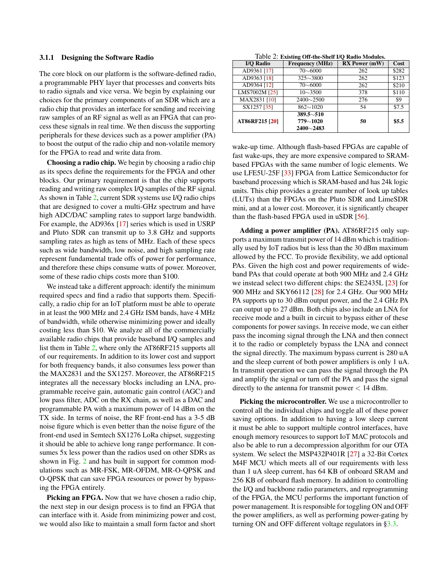#### 3.1.1 Designing the Software Radio

The core block on our platform is the software-defined radio, a programmable PHY layer that processes and converts bits to radio signals and vice versa. We begin by explaining our choices for the primary components of an SDR which are a radio chip that provides an interface for sending and receiving raw samples of an RF signal as well as an FPGA that can process these signals in real time. We then discuss the supporting peripherals for these devices such as a power amplifier (PA) to boost the output of the radio chip and non-volatile memory for the FPGA to read and write data from.

Choosing a radio chip. We begin by choosing a radio chip as its specs define the requirements for the FPGA and other blocks. Our primary requirement is that the chip supports reading and writing raw complex I/Q samples of the RF signal. As shown in Table [2,](#page-3-0) current SDR systems use I/Q radio chips that are designed to cover a multi-GHz spectrum and have high ADC/DAC sampling rates to support large bandwidth. For example, the AD936x [\[17\]](#page-13-0) series which is used in USRP and Pluto SDR can transmit up to 3.8 GHz and supports sampling rates as high as tens of MHz. Each of these specs such as wide bandwidth, low noise, and high sampling rate represent fundamental trade offs of power for performance, and therefore these chips consume watts of power. Moreover, some of these radio chips costs more than \$100.

We instead take a different approach: identify the minimum required specs and find a radio that supports them. Specifically, a radio chip for an IoT platform must be able to operate in at least the 900 MHz and 2.4 GHz ISM bands, have 4 MHz of bandwidth, while otherwise minimizing power and ideally costing less than \$10. We analyze all of the commercially available radio chips that provide baseband I/Q samples and list them in Table [2,](#page-3-0) where only the AT86RF215 supports all of our requirements. In addition to its lower cost and support for both frequency bands, it also consumes less power than the MAX2831 and the SX1257. Moreover, the AT86RF215 integrates all the necessary blocks including an LNA, programmable receive gain, automatic gain control (AGC) and low pass filter, ADC on the RX chain, as well as a DAC and programmable PA with a maximum power of 14 dBm on the TX side. In terms of noise, the RF front-end has a 3-5 dB noise figure which is even better than the noise figure of the front-end used in Semtech SX1276 LoRa chipset, suggesting it should be able to achieve long range performance. It consumes 5x less power than the radios used on other SDRs as shown in Fig. [2](#page-2-1) and has built in support for common modulations such as MR-FSK, MR-OFDM, MR-O-QPSK and O-QPSK that can save FPGA resources or power by bypassing the FPGA entirely.

Picking an FPGA. Now that we have chosen a radio chip, the next step in our design process is to find an FPGA that can interface with it. Aside from minimizing power and cost, we would also like to maintain a small form factor and short

Table 2: Existing Off-the-Shelf I/Q Radio Modules.

<span id="page-3-0"></span>

| <b>I/O Radio</b> | <b>Frequency (MHz)</b>           | <b>RX</b> Power (mW) | Cost  |
|------------------|----------------------------------|----------------------|-------|
| AD9361 [17]      | 70~600                           | 262                  | \$282 |
| AD9363 [18]      | $325 \sim 3800$                  | 262                  | \$123 |
| AD9364 [12]      | 70~600                           | 262                  | \$210 |
| LMS7002M [25]    | $10\sim 3500$                    | 378                  | \$110 |
| MAX2831 [10]     | $2400 \sim 2500$                 | 276                  | \$9   |
| SX1257 [35]      | $862{\sim}1020$                  | 54                   | \$7.5 |
| AT86RF215 [20]   | $389.5 \sim 510$<br>$779 - 1020$ | 50                   | \$5.5 |
|                  | $2400 - 2483$                    |                      |       |

wake-up time. Although flash-based FPGAs are capable of fast wake-ups, they are more expensive compared to SRAMbased FPGAs with the same number of logic elements. We use LFE5U-25F [\[33\]](#page-13-13) FPGA from Lattice Semiconductor for baseband processing which is SRAM-based and has 24k logic units. This chip provides a greater number of look up tables (LUTs) than the FPGAs on the Pluto SDR and LimeSDR mini, and at a lower cost. Moreover, it is significantly cheaper than the flash-based FPGA used in uSDR [\[56\]](#page-14-9).

Adding a power amplifier (PA). AT86RF215 only supports a maximum transmit power of 14 dBm which is traditionally used by IoT radios but is less than the 30 dBm maximum allowed by the FCC. To provide flexibility, we add optional PAs. Given the high cost and power requirements of wideband PAs that could operate at both 900 MHz and 2.4 GHz we instead select two different chips: the SE2435L [\[23\]](#page-13-14) for 900 MHz and SKY66112 [\[28\]](#page-13-15) for 2.4 GHz. Our 900 MHz PA supports up to 30 dBm output power, and the 2.4 GHz PA can output up to 27 dBm. Both chips also include an LNA for receive mode and a built in circuit to bypass either of these components for power savings. In receive mode, we can either pass the incoming signal through the LNA and then connect it to the radio or completely bypass the LNA and connect the signal directly. The maximum bypass current is 280 uA and the sleep current of both power amplifiers is only 1 uA. In transmit operation we can pass the signal through the PA and amplify the signal or turn off the PA and pass the signal directly to the antenna for transmit power  $< 14$  dBm.

Picking the microcontroller. We use a microcontroller to control all the individual chips and toggle all of these power saving options. In addition to having a low sleep current it must be able to support multiple control interfaces, have enough memory resources to support IoT MAC protocols and also be able to run a decompression algorithm for our OTA system. We select the MSP432P401R [\[27\]](#page-13-16) a 32-Bit Cortex M4F MCU which meets all of our requirements with less than 1 uA sleep current, has 64 KB of onboard SRAM and 256 KB of onboard flash memory. In addition to controlling the I/Q and backbone radio parameters, and reprogramming of the FPGA, the MCU performs the important function of power management. It is responsible for toggling ON and OFF the power amplifiers, as well as performing power-gating by turning ON and OFF different voltage regulators in [§3.3.](#page-5-0)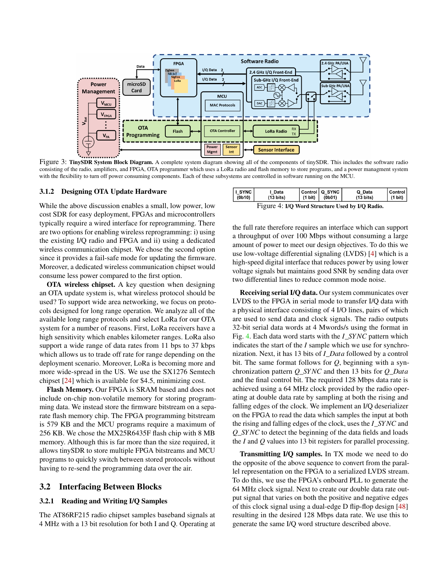<span id="page-4-1"></span>

Figure 3: TinySDR System Block Diagram. A complete system diagram showing all of the components of tinySDR. This includes the software radio consisting of the radio, amplifiers, and FPGA, OTA programmer which uses a LoRa radio and flash memory to store programs, and a power managment system with the flexibility to turn off power consuming components. Each of these subsystems are controlled in software running on the MCU.

#### 3.1.2 Designing OTA Update Hardware

While the above discussion enables a small, low power, low cost SDR for easy deployment, FPGAs and microcontrollers typically require a wired interface for reprogramming. There are two options for enabling wireless reprogramming: i) using the existing I/Q radio and FPGA and ii) using a dedicated wireless communication chipset. We chose the second option since it provides a fail-safe mode for updating the firmware. Moreover, a dedicated wireless communication chipset would consume less power compared to the first option.

OTA wireless chipset. A key question when designing an OTA update system is, what wireless protocol should be used? To support wide area networking, we focus on protocols designed for long range operation. We analyze all of the available long range protocols and select LoRa for our OTA system for a number of reasons. First, LoRa receivers have a high sensitivity which enables kilometer ranges. LoRa also support a wide range of data rates from 11 bps to 37 kbps which allows us to trade off rate for range depending on the deployment scenario. Moreover, LoRa is becoming more and more wide-spread in the US. We use the SX1276 Semtech chipset [\[24\]](#page-13-7) which is available for \$4.5, minimizing cost.

Flash Memory. Our FPGA is SRAM based and does not include on-chip non-volatile memory for storing programming data. We instead store the firmware bitstream on a separate flash memory chip. The FPGA programming bitstream is 579 KB and the MCU programs require a maximum of 256 KB. We chose the MX25R6435F flash chip with 8 MB memory. Although this is far more than the size required, it allows tinySDR to store multiple FPGA bitstreams and MCU programs to quickly switch between stored protocols without having to re-send the programming data over the air.

#### <span id="page-4-0"></span>3.2 Interfacing Between Blocks

#### 3.2.1 Reading and Writing I/Q Samples

The AT86RF215 radio chipset samples baseband signals at 4 MHz with a 13 bit resolution for both I and Q. Operating at

<span id="page-4-2"></span>

| $ I $ SYNC                                                                                                                                                                           | Data                | $(1 \text{ bit})$ | Control   Q SYNC | Q Data              | l Control |
|--------------------------------------------------------------------------------------------------------------------------------------------------------------------------------------|---------------------|-------------------|------------------|---------------------|-----------|
| $ $ (0b10)                                                                                                                                                                           | $(13 \text{ bits})$ |                   | (0b01)           | $(13 \text{ bits})$ | . (1 bit) |
| $\lim_{\Delta t \to 0} \int_{\Delta t}$ $\frac{1}{\Delta t}$ $\lim_{\Delta t \to 0}$ $\lim_{\Delta t \to 0}$ $\lim_{\Delta t \to 0}$ $\lim_{\Delta t \to 0}$ $\lim_{\Delta t \to 0}$ |                     |                   |                  |                     |           |

Figure 4: I/Q Word Structure Used by I/Q Radio.

the full rate therefore requires an interface which can support a throughput of over 100 Mbps without consuming a large amount of power to meet our design objectives. To do this we use low-voltage differential signaling (LVDS) [\[4\]](#page-12-6) which is a high-speed digital interface that reduces power by using lower voltage signals but maintains good SNR by sending data over two differential lines to reduce common mode noise.

Receiving serial I/Q data. Our system communicates over LVDS to the FPGA in serial mode to transfer I/Q data with a physical interface consisting of 4 I/O lines, pairs of which are used to send data and clock signals. The radio outputs 32-bit serial data words at 4 Mwords/s using the format in Fig. [4.](#page-4-2) Each data word starts with the *I*\_*SYNC* pattern which indicates the start of the *I* sample which we use for synchronization. Next, it has 13 bits of *I*\_*Data* followed by a control bit. The same format follows for *Q*, beginning with a synchronization pattern *Q*\_*SYNC* and then 13 bits for *Q*\_*Data* and the final control bit. The required 128 Mbps data rate is achieved using a 64 MHz clock provided by the radio operating at double data rate by sampling at both the rising and falling edges of the clock. We implement an I/Q deserializer on the FPGA to read the data which samples the input at both the rising and falling edges of the clock, uses the *I*\_*SYNC* and *Q*\_*SYNC* to detect the beginning of the data fields and loads the *I* and *Q* values into 13 bit registers for parallel processing.

Transmitting I/Q samples. In TX mode we need to do the opposite of the above sequence to convert from the parallel representation on the FPGA to a serialized LVDS stream. To do this, we use the FPGA's onboard PLL to generate the 64 MHz clock signal. Next to create our double data rate output signal that varies on both the positive and negative edges of this clock signal using a dual-edge D flip-flop design [\[48\]](#page-14-10) resulting in the desired 128 Mbps data rate. We use this to generate the same I/Q word structure described above.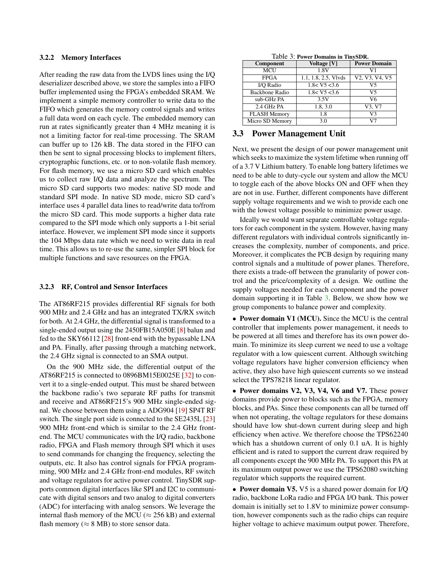#### 3.2.2 Memory Interfaces

After reading the raw data from the LVDS lines using the I/Q deserializer described above, we store the samples into a FIFO buffer implemented using the FPGA's embedded SRAM. We implement a simple memory controller to write data to the FIFO which generates the memory control signals and writes a full data word on each cycle. The embedded memory can run at rates significantly greater than 4 MHz meaning it is not a limiting factor for real-time processing. The SRAM can buffer up to 126 kB. The data stored in the FIFO can then be sent to signal processing blocks to implement filters, cryptographic functions, etc. or to non-volatile flash memory. For flash memory, we use a micro SD card which enables us to collect raw I/Q data and analyze the spectrum. The micro SD card supports two modes: native SD mode and standard SPI mode. In native SD mode, micro SD card's interface uses 4 parallel data lines to read/write data to/from the micro SD card. This mode supports a higher data rate compared to the SPI mode which only supports a 1-bit serial interface. However, we implement SPI mode since it supports the 104 Mbps data rate which we need to write data in real time. This allows us to re-use the same, simpler SPI block for multiple functions and save resources on the FPGA.

#### 3.2.3 RF, Control and Sensor Interfaces

The AT86RF215 provides differential RF signals for both 900 MHz and 2.4 GHz and has an integrated TX/RX switch for both. At 2.4 GHz, the differential signal is transformed to a single-ended output using the 2450FB15A050E [\[8\]](#page-12-7) balun and fed to the SKY66112 [\[28\]](#page-13-15) front-end with the bypassable LNA and PA. Finally, after passing through a matching network, the 2.4 GHz signal is connected to an SMA output.

On the 900 MHz side, the differential output of the AT86RF215 is connected to 0896BM15E0025E [\[32\]](#page-13-17) to convert it to a single-ended output. This must be shared between the backbone radio's two separate RF paths for transmit and receive and AT86RF215's 900 MHz single-ended signal. We choose between them using a ADG904 [\[19\]](#page-13-18) SP4T RF switch. The single port side is connected to the SE2435L [\[23\]](#page-13-14) 900 MHz front-end which is similar to the 2.4 GHz frontend. The MCU communicates with the I/Q radio, backbone radio, FPGA and Flash memory through SPI which it uses to send commands for changing the frequency, selecting the outputs, etc. It also has control signals for FPGA programming, 900 MHz and 2.4 GHz front-end modules, RF switch and voltage regulators for active power control. TinySDR supports common digital interfaces like SPI and I2C to communicate with digital sensors and two analog to digital converters (ADC) for interfacing with analog sensors. We leverage the internal flash memory of the MCU ( $\approx$  256 kB) and external flash memory ( $\approx 8$  MB) to store sensor data.

|  |  | Table 3: Power Domains in TinySDR. |
|--|--|------------------------------------|
|  |  |                                    |

<span id="page-5-1"></span>

| Component           | Voltage [V]           | <b>Power Domain</b>                                               |
|---------------------|-----------------------|-------------------------------------------------------------------|
| <b>MCU</b>          | 1.8V                  | V1                                                                |
| <b>FPGA</b>         | 1.1, 1.8, 2.5, Vlvds  | V <sub>2</sub> , V <sub>3</sub> , V <sub>4</sub> , V <sub>5</sub> |
| I/O Radio           | 1.8 < V5 < 3.6        | V5                                                                |
| Backbone Radio      | 1.8 < V5 < 3.6        | V5                                                                |
| sub-GHz PA          | 3.5V                  | V6                                                                |
| 2.4 GHz PA          | $1.8, 3.\overline{0}$ | V3, V7                                                            |
| <b>FLASH Memory</b> | 1.8                   | V3                                                                |
| Micro SD Memory     | 3.0                   | V7                                                                |

#### <span id="page-5-0"></span>3.3 Power Management Unit

Next, we present the design of our power management unit which seeks to maximize the system lifetime when running off of a 3.7 V Lithium battery. To enable long battery lifetimes we need to be able to duty-cycle our system and allow the MCU to toggle each of the above blocks ON and OFF when they are not in use. Further, different components have different supply voltage requirements and we wish to provide each one with the lowest voltage possible to minimize power usage.

Ideally we would want separate controllable voltage regulators for each component in the system. However, having many different regulators with individual controls significantly increases the complexity, number of components, and price. Moreover, it complicates the PCB design by requiring many control signals and a multitude of power planes. Therefore, there exists a trade-off between the granularity of power control and the price/complexity of a design. We outline the supply voltages needed for each component and the power domain supporting it in Table [3.](#page-5-1) Below, we show how we group components to balance power and complexity.

• Power domain V1 (MCU). Since the MCU is the central controller that implements power management, it needs to be powered at all times and therefore has its own power domain. To minimize its sleep current we need to use a voltage regulator with a low quiescent current. Although switching voltage regulators have higher conversion efficiency when active, they also have high quiescent currents so we instead select the TPS78218 linear regulator.

• Power domains V2, V3, V4, V6 and V7. These power domains provide power to blocks such as the FPGA, memory blocks, and PAs. Since these components can all be turned off when not operating, the voltage regulators for these domains should have low shut-down current during sleep and high efficiency when active. We therefore choose the TPS62240 which has a shutdown current of only 0.1 uA. It is highly efficient and is rated to support the current draw required by all components except the 900 MHz PA. To support this PA at its maximum output power we use the TPS62080 switching regulator which supports the required current.

• Power domain V5. V5 is a shared power domain for I/Q radio, backbone LoRa radio and FPGA I/O bank. This power domain is initially set to 1.8V to minimize power consumption, however components such as the radio chips can require higher voltage to achieve maximum output power. Therefore,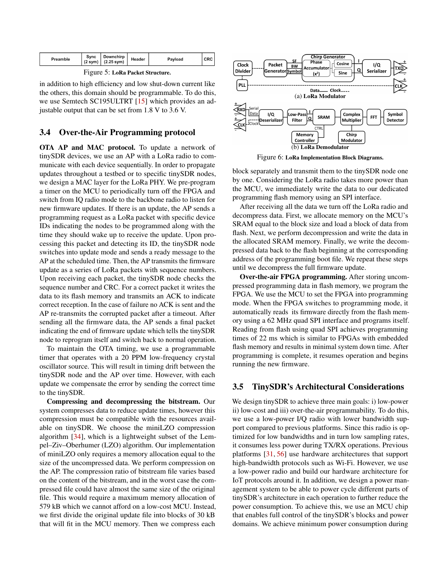<span id="page-6-1"></span>

| $(2 \text{ sym})$ $(2.25 \text{ sym})$ |
|----------------------------------------|
|----------------------------------------|

Figure 5: LoRa Packet Structure.

in addition to high efficiency and low shut-down current like the others, this domain should be programmable. To do this, we use Semtech SC195ULTRT [\[15\]](#page-13-19) which provides an adjustable output that can be set from 1.8 V to 3.6 V.

### <span id="page-6-0"></span>3.4 Over-the-Air Programming protocol

OTA AP and MAC protocol. To update a network of tinySDR devices, we use an AP with a LoRa radio to communicate with each device sequentially. In order to propagate updates throughout a testbed or to specific tinySDR nodes, we design a MAC layer for the LoRa PHY. We pre-program a timer on the MCU to periodically turn off the FPGA and switch from IQ radio mode to the backbone radio to listen for new firmware updates. If there is an update, the AP sends a programming request as a LoRa packet with specific device IDs indicating the nodes to be programmed along with the time they should wake up to receive the update. Upon processing this packet and detecting its ID, the tinySDR node switches into update mode and sends a ready message to the AP at the scheduled time. Then, the AP transmits the firmware update as a series of LoRa packets with sequence numbers. Upon receiving each packet, the tinySDR node checks the sequence number and CRC. For a correct packet it writes the data to its flash memory and transmits an ACK to indicate correct reception. In the case of failure no ACK is sent and the AP re-transmits the corrupted packet after a timeout. After sending all the firmware data, the AP sends a final packet indicating the end of firmware update which tells the tinySDR node to reprogram itself and switch back to normal operation.

To maintain the OTA timing, we use a programmable timer that operates with a 20 PPM low-frequency crystal oscillator source. This will result in timing drift between the tinySDR node and the AP over time. However, with each update we compensate the error by sending the correct time to the tinySDR.

Compressing and decompressing the bitstream. Our system compresses data to reduce update times, however this compression must be compatible with the resources available on tinySDR. We choose the miniLZO compression algorithm [\[34\]](#page-13-20), which is a lightweight subset of the Lempel–Ziv–Oberhumer (LZO) algorithm. Our implementation of miniLZO only requires a memory allocation equal to the size of the uncompressed data. We perform compression on the AP. The compression ratio of bitstream file varies based on the content of the bitstream, and in the worst case the compressed file could have almost the same size of the original file. This would require a maximum memory allocation of 579 kB which we cannot afford on a low-cost MCU. Instead, we first divide the original update file into blocks of 30 kB that will fit in the MCU memory. Then we compress each

<span id="page-6-2"></span>

Figure 6: LoRa Implementation Block Diagrams.

block separately and transmit them to the tinySDR node one by one. Considering the LoRa radio takes more power than the MCU, we immediately write the data to our dedicated programming flash memory using an SPI interface.

After receiving all the data we turn off the LoRa radio and decompress data. First, we allocate memory on the MCU's SRAM equal to the block size and load a block of data from flash. Next, we perform decompression and write the data in the allocated SRAM memory. Finally, we write the decompressed data back to the flash beginning at the corresponding address of the programming boot file. We repeat these steps until we decompress the full firmware update.

Over-the-air FPGA programming. After storing uncompressed programming data in flash memory, we program the FPGA. We use the MCU to set the FPGA into programming mode. When the FPGA switches to programming mode, it automatically reads its firmware directly from the flash memory using a 62 MHz quad SPI interface and programs itself. Reading from flash using quad SPI achieves programming times of 22 ms which is similar to FPGAs with embedded flash memory and results in minimal system down time. After programming is complete, it resumes operation and begins running the new firmware.

## 3.5 TinySDR's Architectural Considerations

We design tinySDR to achieve three main goals: i) low-power ii) low-cost and iii) over-the-air programmability. To do this, we use a low-power I/Q radio with lower bandwidth support compared to previous platforms. Since this radio is optimized for low bandwidths and in turn low sampling rates, it consumes less power during TX/RX operations. Previous platforms [\[31,](#page-13-9) [56\]](#page-14-9) use hardware architectures that support high-bandwidth protocols such as Wi-Fi. However, we use a low-power radio and build our hardware architecture for IoT protocols around it. In addition, we design a power management system to be able to power cycle different parts of tinySDR's architecture in each operation to further reduce the power consumption. To achieve this, we use an MCU chip that enables full control of the tinySDR's blocks and power domains. We achieve minimum power consumption during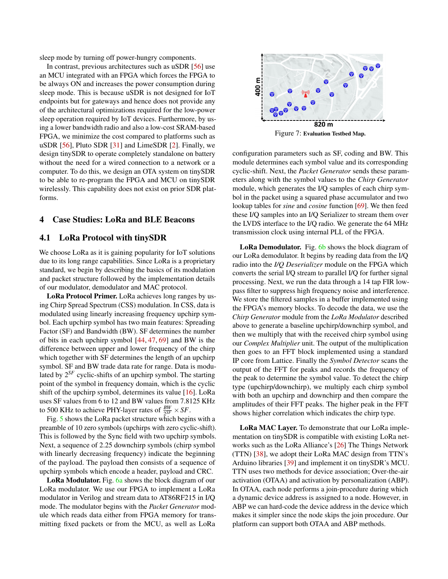sleep mode by turning off power-hungry components.

In contrast, previous architectures such as uSDR [\[56\]](#page-14-9) use an MCU integrated with an FPGA which forces the FPGA to be always ON and increases the power consumption during sleep mode. This is because uSDR is not designed for IoT endpoints but for gateways and hence does not provide any of the architectural optimizations required for the low-power sleep operation required by IoT devices. Furthermore, by using a lower bandwidth radio and also a low-cost SRAM-based FPGA, we minimize the cost compared to platforms such as uSDR [\[56\]](#page-14-9), Pluto SDR [\[31\]](#page-13-9) and LimeSDR [\[2\]](#page-12-3). Finally, we design tinySDR to operate completely standalone on battery without the need for a wired connection to a network or a computer. To do this, we design an OTA system on tinySDR to be able to re-program the FPGA and MCU on tinySDR wirelessly. This capability does not exist on prior SDR platforms.

#### 4 Case Studies: LoRa and BLE Beacons

## 4.1 LoRa Protocol with tinySDR

We choose LoRa as it is gaining popularity for IoT solutions due to its long range capabilities. Since LoRa is a proprietary standard, we begin by describing the basics of its modulation and packet structure followed by the implementation details of our modulator, demodulator and MAC protocol.

LoRa Protocol Primer. LoRa achieves long ranges by using Chirp Spread Spectrum (CSS) modulation. In CSS, data is modulated using linearly increasing frequency upchirp symbol. Each upchirp symbol has two main features: Spreading Factor (SF) and Bandwidth (BW). SF determines the number of bits in each upchirp symbol [\[44,](#page-14-0) [47,](#page-14-1) [69\]](#page-15-7) and BW is the difference between upper and lower frequency of the chirp which together with SF determines the length of an upchirp symbol. SF and BW trade data rate for range. Data is modulated by 2 *SF* cyclic-shifts of an upchirp symbol. The starting point of the symbol in frequency domain, which is the cyclic shift of the upchirp symbol, determines its value [\[16\]](#page-13-21). LoRa uses SF values from 6 to 12 and BW values from 7.8125 KHz to 500 KHz to achieve PHY-layer rates of  $\frac{BW}{2^{SF}} \times SF$ .

Fig. [5](#page-6-1) shows the LoRa packet structure which begins with a preamble of 10 zero symbols (upchirps with zero cyclic-shift). This is followed by the Sync field with two upchirp symbols. Next, a sequence of 2.25 downchirp symbols (chirp symbol with linearly decreasing frequency) indicate the beginning of the payload. The payload then consists of a sequence of upchirp symbols which encode a header, payload and CRC.

LoRa Modulator. Fig. [6a](#page-6-2) shows the block diagram of our LoRa modulator. We use our FPGA to implement a LoRa modulator in Verilog and stream data to AT86RF215 in I/Q mode. The modulator begins with the *Packet Generator* module which reads data either from FPGA memory for transmitting fixed packets or from the MCU, as well as LoRa

<span id="page-7-0"></span>

configuration parameters such as SF, coding and BW. This module determines each symbol value and its corresponding cyclic-shift. Next, the *Packet Generator* sends these parameters along with the symbol values to the *Chirp Generator* module, which generates the I/Q samples of each chirp symbol in the packet using a squared phase accumulator and two lookup tables for *sine* and *cosine* function [\[69\]](#page-15-7). We then feed these I/Q samples into an I/Q Serializer to stream them over the LVDS interface to the I/Q radio. We generate the 64 MHz transmission clock using internal PLL of the FPGA.

LoRa Demodulator. Fig. [6b](#page-6-2) shows the block diagram of our LoRa demodulator. It begins by reading data from the I/Q radio into the *I/Q Deserializer* module on the FPGA which converts the serial I/Q stream to parallel I/Q for further signal processing. Next, we run the data through a 14 tap FIR lowpass filter to suppress high frequency noise and interference. We store the filtered samples in a buffer implemented using the FPGA's memory blocks. To decode the data, we use the *Chirp Generator* module from the *LoRa Modulator* described above to generate a baseline upchirp/downchirp symbol, and then we multiply that with the received chirp symbol using our *Complex Multiplier* unit. The output of the multiplication then goes to an FFT block implemented using a standard IP core from Lattice. Finally the *Symbol Detector* scans the output of the FFT for peaks and records the frequency of the peak to determine the symbol value. To detect the chirp type (upchirp/downchirp), we multiply each chirp symbol with both an upchirp and downchirp and then compare the amplitudes of their FFT peaks. The higher peak in the FFT shows higher correlation which indicates the chirp type.

LoRa MAC Layer. To demonstrate that our LoRa implementation on tinySDR is compatible with existing LoRa networks such as the LoRa Alliance's [\[26\]](#page-13-22) The Things Network (TTN) [\[38\]](#page-13-23), we adopt their LoRa MAC design from TTN's Arduino libraries [\[39\]](#page-13-24) and implement it on tinySDR's MCU. TTN uses two methods for device association; Over-the-air activation (OTAA) and activation by personalization (ABP). In OTAA, each node performs a join-procedure during which a dynamic device address is assigned to a node. However, in ABP we can hard-code the device address in the device which makes it simpler since the node skips the join procedure. Our platform can support both OTAA and ABP methods.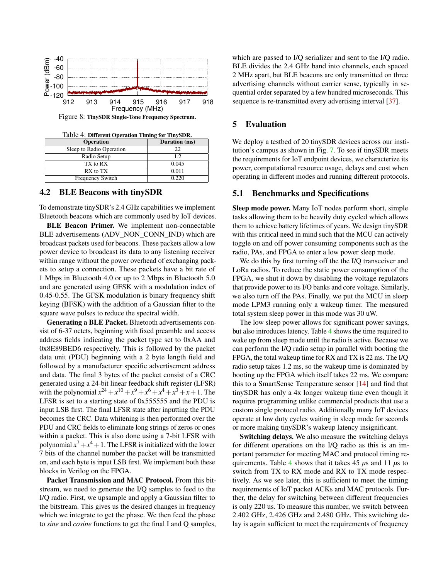<span id="page-8-1"></span>

Figure 8: TinySDR Single-Tone Frequency Spectrum.

Table 4: Different Operation Timing for TinySDR.

<span id="page-8-0"></span>

| <b>Operation</b>         | Duration (ms) |
|--------------------------|---------------|
| Sleep to Radio Operation | 22            |
| Radio Setup              | 1.2           |
| TX to RX                 | 0.045         |
| RX to TX                 | 0.011         |
| Frequency Switch         | 0.220         |

### 4.2 BLE Beacons with tinySDR

To demonstrate tinySDR's 2.4 GHz capabilities we implement Bluetooth beacons which are commonly used by IoT devices.

BLE Beacon Primer. We implement non-connectable BLE advertisements (ADV\_NON\_CONN\_IND) which are broadcast packets used for beacons. These packets allow a low power device to broadcast its data to any listening receiver within range without the power overhead of exchanging packets to setup a connection. These packets have a bit rate of 1 Mbps in Bluetooth 4.0 or up to 2 Mbps in Bluetooth 5.0 and are generated using GFSK with a modulation index of 0.45-0.55. The GFSK modulation is binary frequency shift keying (BFSK) with the addition of a Gaussian filter to the square wave pulses to reduce the spectral width.

Generating a BLE Packet. Bluetooth advertisements consist of 6-37 octets, beginning with fixed preamble and access address fields indicating the packet type set to 0xAA and 0x8E89BED6 respectively. This is followed by the packet data unit (PDU) beginning with a 2 byte length field and followed by a manufacturer specific advertisement address and data. The final 3 bytes of the packet consist of a CRC generated using a 24-bit linear feedback shift register (LFSR) with the polynomial  $x^{24} + x^{10} + x^9 + x^6 + x^4 + x^3 + x + 1$ . The LFSR is set to a starting state of 0x555555 and the PDU is input LSB first. The final LFSR state after inputting the PDU becomes the CRC. Data whitening is then performed over the PDU and CRC fields to eliminate long strings of zeros or ones within a packet. This is also done using a 7-bit LFSR with polynomial  $x^7 + x^4 + 1$ . The LFSR is initialized with the lower 7 bits of the channel number the packet will be transmitted on, and each byte is input LSB first. We implement both these blocks in Verilog on the FPGA.

Packet Transmission and MAC Protocol. From this bitstream, we need to generate the I/Q samples to feed to the I/Q radio. First, we upsample and apply a Gaussian filter to the bitstream. This gives us the desired changes in frequency which we integrate to get the phase. We then feed the phase to *sine* and *cosine* functions to get the final I and Q samples, which are passed to I/Q serializer and sent to the I/Q radio. BLE divides the 2.4 GHz band into channels, each spaced 2 MHz apart, but BLE beacons are only transmitted on three advertising channels without carrier sense, typically in sequential order separated by a few hundred microseconds. This sequence is re-transmitted every advertising interval [\[37\]](#page-13-25).

# 5 Evaluation

We deploy a testbed of 20 tinySDR devices across our institution's campus as shown in Fig. [7.](#page-7-0) To see if tinySDR meets the requirements for IoT endpoint devices, we characterize its power, computational resource usage, delays and cost when operating in different modes and running different protocols.

#### 5.1 Benchmarks and Specifications

Sleep mode power. Many IoT nodes perform short, simple tasks allowing them to be heavily duty cycled which allows them to achieve battery lifetimes of years. We design tinySDR with this critical need in mind such that the MCU can actively toggle on and off power consuming components such as the radio, PAs, and FPGA to enter a low power sleep mode.

We do this by first turning off the the I/Q transceiver and LoRa radios. To reduce the static power consumption of the FPGA, we shut it down by disabling the voltage regulators that provide power to its I/O banks and core voltage. Similarly, we also turn off the PAs. Finally, we put the MCU in sleep mode LPM3 running only a wakeup timer. The measured total system sleep power in this mode was 30 uW.

The low sleep power allows for significant power savings, but also introduces latency. Table [4](#page-8-0) shows the time required to wake up from sleep mode until the radio is active. Because we can perform the I/Q radio setup in parallel with booting the FPGA, the total wakeup time for RX and TX is 22 ms. The I/Q radio setup takes 1.2 ms, so the wakeup time is dominated by booting up the FPGA which itself takes 22 ms. We compare this to a SmartSense Temperature sensor [\[14\]](#page-13-26) and find that tinySDR has only a 4x longer wakeup time even though it requires programming unlike commercial products that use a custom single protocol radio. Additionally many IoT devices operate at low duty cycles waiting in sleep mode for seconds or more making tinySDR's wakeup latency insignificant.

Switching delays. We also measure the switching delays for different operations on the I/Q radio as this is an important parameter for meeting MAC and protocol timing requirements. Table [4](#page-8-0) shows that it takes 45 *µ*s and 11 *µ*s to switch from TX to RX mode and RX to TX mode respectively. As we see later, this is sufficient to meet the timing requirements of IoT packet ACKs and MAC protocols. Further, the delay for switching between different frequencies is only 220 us. To measure this number, we switch between 2.402 GHz, 2.426 GHz and 2.480 GHz. This switching delay is again sufficient to meet the requirements of frequency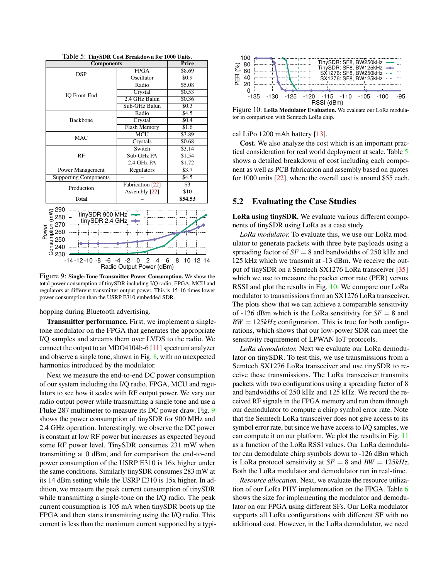<span id="page-9-1"></span>

| <b>Components</b>                                                                                                                                                                               | Price                              |                    |
|-------------------------------------------------------------------------------------------------------------------------------------------------------------------------------------------------|------------------------------------|--------------------|
| <b>DSP</b>                                                                                                                                                                                      | <b>FPGA</b>                        | \$8.69             |
|                                                                                                                                                                                                 | Oscillator                         | \$0.9              |
|                                                                                                                                                                                                 | Radio                              | \$5.08             |
| IO Front-End                                                                                                                                                                                    | Crystal                            | \$0.53             |
|                                                                                                                                                                                                 | 2.4 GHz Balun                      | \$0.36             |
|                                                                                                                                                                                                 | Sub-GHz Balun                      | \$0.3              |
|                                                                                                                                                                                                 | Radio                              | \$4.5              |
| <b>Backbone</b>                                                                                                                                                                                 | Crystal                            | \$0.4              |
|                                                                                                                                                                                                 | <b>Flash Memory</b>                | \$1.6              |
| <b>MAC</b>                                                                                                                                                                                      | MCU                                | \$3.89             |
|                                                                                                                                                                                                 | Crystals                           | \$0.68             |
|                                                                                                                                                                                                 | Switch                             | \$3.14             |
| RF                                                                                                                                                                                              | Sub-GHz PA                         | \$1.54             |
|                                                                                                                                                                                                 | $2.4$ GHz PA                       | \$1.72             |
| Power Management                                                                                                                                                                                | Regulators                         | \$3.7              |
| <b>Supporting Components</b>                                                                                                                                                                    |                                    | \$4.5              |
| Production                                                                                                                                                                                      | Fabrication [22]                   | $\overline{\$3}$   |
|                                                                                                                                                                                                 | Assembly [22]                      | $\overline{$10}$   |
| <b>Total</b>                                                                                                                                                                                    |                                    | \$54.53            |
| $\begin{array}{c}\n\circ \\ \circ \\ \circ \\ \circ \\ \circ\n\end{array}$<br>tinySDR 900 MHz -<br>Je sa 270<br>Manus 280<br>De sa 250<br>C 240<br>O 230<br>$-14 - 12 - 10 - 8 - 6 - 4 - 2 = 0$ | 2<br>4<br>Radio Output Power (dBm) | 8<br>10 12 14<br>6 |

Table 5: TinySDR Cost Breakdown for 1000 Units.

<span id="page-9-0"></span>Figure 9: Single-Tone Transmitter Power Consumption. We show the total power consumption of tinySDR including I/Q radio, FPGA, MCU and regulators at different transmitter output power. This is 15-16 times lower power consumption than the USRP E310 embedded SDR.

hopping during Bluetooth advertising.

Transmitter performance. First, we implement a singletone modulator on the FPGA that generates the appropriate I/Q samples and streams them over LVDS to the radio. We connect the output to an MDO4104b-6 [\[11\]](#page-13-28) spectrum analyzer and observe a single tone, shown in Fig. [8,](#page-8-1) with no unexpected harmonics introduced by the modulator.

Next we measure the end-to-end DC power consumption of our system including the I/Q radio, FPGA, MCU and regulators to see how it scales with RF output power. We vary our radio output power while transmitting a single tone and use a Fluke 287 multimeter to measure its DC power draw. Fig. [9](#page-9-0) shows the power consumption of tinySDR for 900 MHz and 2.4 GHz operation. Interestingly, we observe the DC power is constant at low RF power but increases as expected beyond some RF power level. TinySDR consumes 231 mW when transmitting at 0 dBm, and for comparison the end-to-end power consumption of the USRP E310 is 16x higher under the same conditions. Similarly tinySDR consumes 283 mW at its 14 dBm setting while the USRP E310 is 15x higher. In addition, we measure the peak current consumption of tinySDR while transmitting a single-tone on the I/Q radio. The peak current consumption is 105 mA when tinySDR boots up the FPGA and then starts transmitting using the I/Q radio. This current is less than the maximum current supported by a typi-

<span id="page-9-2"></span>

Figure 10: LoRa Modulator Evaluation. We evaluate our LoRa modulator in comparison with Semtech LoRa chip.

cal LiPo 1200 mAh battery [\[13\]](#page-13-29).

Cost. We also analyze the cost which is an important practical consideration for real world deployment at scale. Table [5](#page-9-1) shows a detailed breakdown of cost including each component as well as PCB fabrication and assembly based on quotes for 1000 units [\[22\]](#page-13-27), where the overall cost is around \$55 each.

#### 5.2 Evaluating the Case Studies

LoRa using tinySDR. We evaluate various different components of tinySDR using LoRa as a case study.

*LoRa modulator.* To evaluate this, we use our LoRa modulator to generate packets with three byte payloads using a spreading factor of  $SF = 8$  and bandwidths of 250 kHz and 125 kHz which we transmit at -13 dBm. We receive the output of tinySDR on a Semtech SX1276 LoRa transceiver [\[35\]](#page-13-11) which we use to measure the packet error rate (PER) versus RSSI and plot the results in Fig. [10.](#page-9-2) We compare our LoRa modulator to transmissions from an SX1276 LoRa transceiver. The plots show that we can achieve a comparable sensitivity of  $-126$  dBm which is the LoRa sensitivity for  $SF = 8$  and  $BW = 125kHz$  configuration. This is true for both configurations, which shows that our low-power SDR can meet the sensitivity requirement of LPWAN IoT protocols.

*LoRa demodulator.* Next we evaluate our LoRa demodulator on tinySDR. To test this, we use transmissions from a Semtech SX1276 LoRa transceiver and use tinySDR to receive these transmissions. The LoRa transceiver transmits packets with two configurations using a spreading factor of 8 and bandwidths of 250 kHz and 125 kHz. We record the received RF signals in the FPGA memory and run them through our demodulator to compute a chirp symbol error rate. Note that the Semtech LoRa transceiver does not give access to its symbol error rate, but since we have access to I/Q samples, we can compute it on our platform. We plot the results in Fig. [11](#page-10-0) as a function of the LoRa RSSI values. Our LoRa demodulator can demodulate chirp symbols down to -126 dBm which is LoRa protocol sensitivity at  $SF = 8$  and  $BW = 125kHz$ . Both the LoRa modulator and demodulator run in real-time.

*Resource allocation.* Next, we evaluate the resource utilization of our LoRa PHY implementation on the FPGA. Table [6](#page-10-1) shows the size for implementing the modulator and demodulator on our FPGA using different SFs. Our LoRa modulator supports all LoRa configurations with different SF with no additional cost. However, in the LoRa demodulator, we need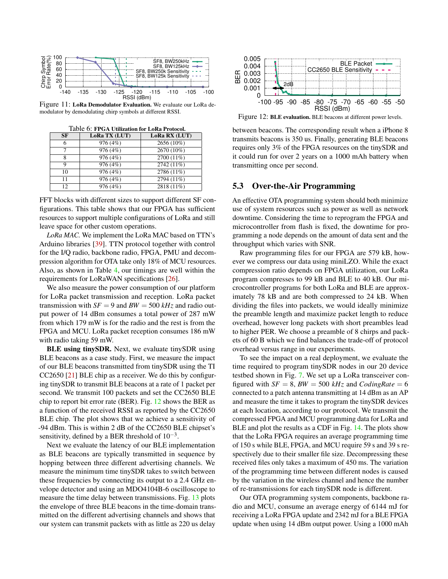<span id="page-10-0"></span>

Figure 11: LoRa Demodulator Evaluation. We evaluate our LoRa demodulator by demodulating chirp symbols at different RSSI.

<span id="page-10-1"></span>

| SF  | LoRa TX (LUT) | LoRa RX (LUT) |  |  |
|-----|---------------|---------------|--|--|
| 6   | 976 (4%)      | 2656 (10%)    |  |  |
|     | 976 (4%)      | 2670 (10%)    |  |  |
| 8   | 976 (4%)      | 2700 (11%)    |  |  |
| Q   | 976 (4%)      | 2742 (11%)    |  |  |
| 10  | 976 (4%)      | 2786 (11%)    |  |  |
| 11  | 976 (4%)      | 2794 (11%)    |  |  |
| 12. | 976 (4%)      | 2818 (11%)    |  |  |
|     |               |               |  |  |

Table 6: FPGA Utilization for LoRa Protocol.

FFT blocks with different sizes to support different SF configurations. This table shows that our FPGA has sufficient resources to support multiple configurations of LoRa and still leave space for other custom operations.

*LoRa MAC.* We implement the LoRa MAC based on TTN's Arduino libraries [\[39\]](#page-13-24). TTN protocol together with control for the I/Q radio, backbone radio, FPGA, PMU and decompression algorithm for OTA take only 18% of MCU resources. Also, as shown in Table [4,](#page-8-0) our timings are well within the requirements for LoRaWAN specifications [\[26\]](#page-13-22).

We also measure the power consumption of our platform for LoRa packet transmission and reception. LoRa packet transmission with  $SF = 9$  and  $BW = 500$   $kHz$  and radio output power of 14 dBm consumes a total power of 287 mW from which 179 mW is for the radio and the rest is from the FPGA and MCU. LoRa packet reception consumes 186 mW with radio taking 59 mW.

BLE using tinySDR. Next, we evaluate tinySDR using BLE beacons as a case study. First, we measure the impact of our BLE beacons transmitted from tinySDR using the TI CC2650 [\[21\]](#page-13-8) BLE chip as a receiver. We do this by configuring tinySDR to transmit BLE beacons at a rate of 1 packet per second. We transmit 100 packets and set the CC2650 BLE chip to report bit error rate (BER). Fig. [12](#page-10-2) shows the BER as a function of the received RSSI as reported by the CC2650 BLE chip. The plot shows that we achieve a sensitivity of -94 dBm. This is within 2 dB of the CC2650 BLE chipset's sensitivity, defined by a BER threshold of  $10^{-3}$ .

Next we evaluate the latency of our BLE implementation as BLE beacons are typically transmitted in sequence by hopping between three different advertising channels. We measure the minimum time tinySDR takes to switch between these frequencies by connecting its output to a 2.4 GHz envelope detector and using an MDO4104B-6 oscilloscope to measure the time delay between transmissions. Fig. [13](#page-11-0) plots the envelope of three BLE beacons in the time-domain transmitted on the different advertising channels and shows that our system can transmit packets with as little as 220 us delay

<span id="page-10-2"></span>

Figure 12: BLE evaluation. BLE beacons at different power levels.

between beacons. The corresponding result when a iPhone 8 transmits beacons is 350 us. Finally, generating BLE beacons requires only 3% of the FPGA resources on the tinySDR and it could run for over 2 years on a 1000 mAh battery when transmitting once per second.

# 5.3 Over-the-Air Programming

An effective OTA programming system should both minimize use of system resources such as power as well as network downtime. Considering the time to reprogram the FPGA and microcontroller from flash is fixed, the downtime for programming a node depends on the amount of data sent and the throughput which varies with SNR.

Raw programming files for our FPGA are 579 kB, however we compress our data using miniLZO. While the exact compression ratio depends on FPGA utilization, our LoRa program compresses to 99 kB and BLE to 40 kB. Our microcontroller programs for both LoRa and BLE are approximately 78 kB and are both compressed to 24 kB. When dividing the files into packets, we would ideally minimize the preamble length and maximize packet length to reduce overhead, however long packets with short preambles lead to higher PER. We choose a preamble of 8 chirps and packets of 60 B which we find balances the trade-off of protocol overhead versus range in our experiments.

To see the impact on a real deployment, we evaluate the time required to program tinySDR nodes in our 20 device testbed shown in Fig. [7.](#page-7-0) We set up a LoRa transceiver configured with  $SF = 8$ ,  $BW = 500$   $kHz$  and *CodingRate* = 6 connected to a patch antenna transmitting at 14 dBm as an AP and measure the time it takes to program the tinySDR devices at each location, according to our protocol. We transmit the compressed FPGA and MCU programming data for LoRa and BLE and plot the results as a CDF in Fig. [14.](#page-11-1) The plots show that the LoRa FPGA requires an average programming time of 150 s while BLE, FPGA, and MCU require 59 s and 39 s respectively due to their smaller file size. Decompressing these received files only takes a maximum of 450 ms. The variation of the programming time between different nodes is caused by the variation in the wireless channel and hence the number of re-transmissions for each tinySDR node is different.

Our OTA programming system components, backbone radio and MCU, consume an average energy of 6144 mJ for receiving a LoRa FPGA update and 2342 mJ for a BLE FPGA update when using 14 dBm output power. Using a 1000 mAh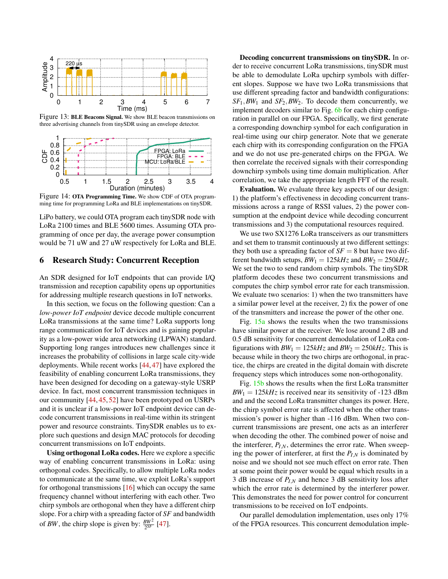<span id="page-11-0"></span>

Figure 13: BLE Beacons Signal. We show BLE beacon transmissions on three advertising channels from tinySDR using an envelope detector.

<span id="page-11-1"></span>

Figure 14: OTA Programming Time. We show CDF of OTA programming time for programming LoRa and BLE implementations on tinySDR.

LiPo battery, we could OTA program each tinySDR node with LoRa 2100 times and BLE 5600 times. Assuming OTA programming of once per day, the average power consumption would be 71 uW and 27 uW respectively for LoRa and BLE.

## 6 Research Study: Concurrent Reception

An SDR designed for IoT endpoints that can provide I/Q transmission and reception capability opens up opportunities for addressing multiple research questions in IoT networks.

In this section, we focus on the following question: Can a *low-power IoT endpoint* device decode multiple concurrent LoRa transmissions at the same time? LoRa supports long range communication for IoT devices and is gaining popularity as a low-power wide area networking (LPWAN) standard. Supporting long ranges introduces new challenges since it increases the probability of collisions in large scale city-wide deployments. While recent works [\[44,](#page-14-0) [47\]](#page-14-1) have explored the feasibility of enabling concurrent LoRa transmissions, they have been designed for decoding on a gateway-style USRP device. In fact, most concurrent transmission techniques in our community [\[44,](#page-14-0) [45,](#page-14-11) [52\]](#page-14-12) have been prototyped on USRPs and it is unclear if a low-power IoT endpoint device can decode concurrent transmissions in real-time within its stringent power and resource constraints. TinySDR enables us to explore such questions and design MAC protocols for decoding concurrent transmissions on IoT endpoints.

Using orthogonal LoRa codes. Here we explore a specific way of enabling concurrent transmissions in LoRa: using orthogonal codes. Specifically, to allow multiple LoRa nodes to communicate at the same time, we exploit LoRa's support for orthogonal transmissions [\[16\]](#page-13-21) which can occupy the same frequency channel without interfering with each other. Two chirp symbols are orthogonal when they have a different chirp slope. For a chirp with a spreading factor of *SF* and bandwidth of *BW*, the chirp slope is given by:  $\frac{BW^2}{2^{SF}}$  [\[47\]](#page-14-1).

Decoding concurrent transmissions on tinySDR. In order to receive concurrent LoRa transmissions, tinySDR must be able to demodulate LoRa upchirp symbols with different slopes. Suppose we have two LoRa transmissions that use different spreading factor and bandwidth configurations: *SF*1,*BW*<sup>1</sup> and *SF*2,*BW*2. To decode them concurrently, we implement decoders similar to Fig. [6b](#page-6-2) for each chirp configuration in parallel on our FPGA. Specifically, we first generate a corresponding downchirp symbol for each configuration in real-time using our chirp generator. Note that we generate each chirp with its corresponding configuration on the FPGA and we do not use pre-generated chirps on the FPGA. We then correlate the received signals with their corresponding downchirp symbols using time domain multiplication. After correlation, we take the appropriate length FFT of the result.

Evaluation. We evaluate three key aspects of our design: 1) the platform's effectiveness in decoding concurrent transmissions across a range of RSSI values, 2) the power consumption at the endpoint device while decoding concurrent transmissions and 3) the computational resources required.

We use two SX1276 LoRa transceivers as our transmitters and set them to transmit continuously at two different settings: they both use a spreading factor of  $SF = 8$  but have two different bandwidth setups,  $BW_1 = 125kHz$  and  $BW_2 = 250kHz$ . We set the two to send random chirp symbols. The tinySDR platform decodes these two concurrent transmissions and computes the chirp symbol error rate for each transmission. We evaluate two scenarios: 1) when the two transmitters have a similar power level at the receiver, 2) fix the power of one of the transmitters and increase the power of the other one.

Fig.  $15a$  shows the results when the two transmissions have similar power at the receiver. We lose around 2 dB and 0.5 dB sensitivity for concurrent demodulation of LoRa configurations with  $BW_1 = 125kHz$  and  $BW_2 = 250kHz$ . This is because while in theory the two chirps are orthogonal, in practice, the chirps are created in the digital domain with discrete frequency steps which introduces some non-orthogonality.

Fig. [15b](#page-12-8) shows the results when the first LoRa transmitter  $BW_1 = 125kHz$  is received near its sensitivity of -123 dBm and and the second LoRa transmitter changes its power. Here, the chirp symbol error rate is affected when the other transmission's power is higher than -116 dBm. When two concurrent transmissions are present, one acts as an interferer when decoding the other. The combined power of noise and the interferer,  $P_{I,N}$ , determines the error rate. When sweeping the power of interferer, at first the  $P_{I,N}$  is dominated by noise and we should not see much effect on error rate. Then at some point their power would be equal which results in a 3 dB increase of *PI*,*<sup>N</sup>* and hence 3 dB sensitivity loss after which the error rate is determined by the interferer power. This demonstrates the need for power control for concurrent transmissions to be received on IoT endpoints.

Our parallel demodulation implementation, uses only 17% of the FPGA resources. This concurrent demodulation imple-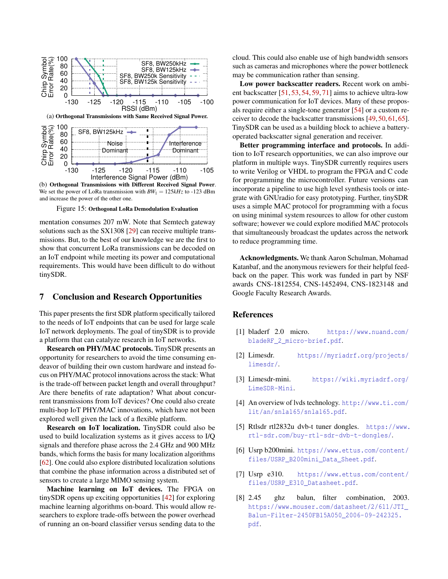<span id="page-12-8"></span>

We set the power of LoRa transmission with  $BW_1 = 125kHz$  to -123 dBm and increase the power of the other one.

Figure 15: Orthogonal LoRa Demodulation Evaluation

mentation consumes 207 mW. Note that Semtech gateway solutions such as the SX1308 [\[29\]](#page-13-30) can receive multiple transmissions. But, to the best of our knowledge we are the first to show that concurrent LoRa transmissions can be decoded on an IoT endpoint while meeting its power and computational requirements. This would have been difficult to do without tinySDR.

#### 7 Conclusion and Research Opportunities

This paper presents the first SDR platform specifically tailored to the needs of IoT endpoints that can be used for large scale IoT network deployments. The goal of tinySDR is to provide a platform that can catalyze research in IoT networks.

Research on PHY/MAC protocols. TinySDR presents an opportunity for researchers to avoid the time consuming endeavor of building their own custom hardware and instead focus on PHY/MAC protocol innovations across the stack: What is the trade-off between packet length and overall throughput? Are there benefits of rate adaptation? What about concurrent transmissions from IoT devices? One could also create multi-hop IoT PHY/MAC innovations, which have not been explored well given the lack of a flexible platform.

Research on IoT localization. TinySDR could also be used to build localization systems as it gives access to I/Q signals and therefore phase across the 2.4 GHz and 900 MHz bands, which forms the basis for many localization algorithms [\[62\]](#page-14-13). One could also explore distributed localization solutions that combine the phase information across a distributed set of sensors to create a large MIMO sensing system.

Machine learning on IoT devices. The FPGA on tinySDR opens up exciting opportunities [\[42\]](#page-14-14) for exploring machine learning algorithms on-board. This would allow researchers to explore trade-offs between the power overhead of running an on-board classifier versus sending data to the

cloud. This could also enable use of high bandwidth sensors such as cameras and microphones where the power bottleneck may be communication rather than sensing.

Low power backscatter readers. Recent work on ambient backscatter [\[51,](#page-14-15) [53,](#page-14-16) [54,](#page-14-17) [59,](#page-14-18) [71\]](#page-15-8) aims to achieve ultra-low power communication for IoT devices. Many of these proposals require either a single-tone generator [\[54\]](#page-14-17) or a custom receiver to decode the backscatter transmissions [\[49,](#page-14-19) [50,](#page-14-20) [61,](#page-14-21) [65\]](#page-15-9). TinySDR can be used as a building block to achieve a batteryoperated backscatter signal generation and receiver.

Better programming interface and protocols. In addition to IoT research opportunities, we can also improve our platform in multiple ways. TinySDR currently requires users to write Verilog or VHDL to program the FPGA and C code for programming the microcontroller. Future versions can incorporate a pipeline to use high level synthesis tools or integrate with GNUradio for easy prototyping. Further, tinySDR uses a simple MAC protocol for programming with a focus on using minimal system resources to allow for other custom software; however we could explore modified MAC protocols that simultaneously broadcast the updates across the network to reduce programming time.

Acknowledgments. We thank Aaron Schulman, Mohamad Katanbaf, and the anonymous reviewers for their helpful feedback on the paper. This work was funded in part by NSF awards CNS-1812554, CNS-1452494, CNS-1823148 and Google Faculty Research Awards.

#### References

- <span id="page-12-2"></span>[1] bladerf 2.0 micro. [https://www.nuand.com/](https://www.nuand.com/bladeRF_2_micro-brief.pdf) [bladeRF\\_2\\_micro-brief.pdf](https://www.nuand.com/bladeRF_2_micro-brief.pdf).
- <span id="page-12-3"></span>[2] Limesdr. [https://myriadrf.org/projects/](https://myriadrf.org/projects/limesdr/) [limesdr/](https://myriadrf.org/projects/limesdr/).
- <span id="page-12-4"></span>[3] Limesdr-mini. [https://wiki.myriadrf.org/](https://wiki.myriadrf.org/LimeSDR-Mini) [LimeSDR-Mini](https://wiki.myriadrf.org/LimeSDR-Mini).
- <span id="page-12-6"></span>[4] An overview of lvds technology. [http://www.ti.com/](http://www.ti.com/lit/an/snla165/snla165.pdf) [lit/an/snla165/snla165.pdf](http://www.ti.com/lit/an/snla165/snla165.pdf).
- <span id="page-12-5"></span>[5] Rtlsdr rtl2832u dvb-t tuner dongles. [https://www.](https://www.rtl-sdr.com/buy-rtl-sdr-dvb-t-dongles/) [rtl-sdr.com/buy-rtl-sdr-dvb-t-dongles/](https://www.rtl-sdr.com/buy-rtl-sdr-dvb-t-dongles/).
- <span id="page-12-1"></span>[6] Usrp b200mini. [https://www.ettus.com/content/](https://www.ettus.com/content/files/USRP_B200mini_Data_Sheet.pdf) [files/USRP\\_B200mini\\_Data\\_Sheet.pdf](https://www.ettus.com/content/files/USRP_B200mini_Data_Sheet.pdf).
- <span id="page-12-0"></span>[7] Usrp e310. [https://www.ettus.com/content/](https://www.ettus.com/content/files/USRP_E310_Datasheet.pdf) [files/USRP\\_E310\\_Datasheet.pdf](https://www.ettus.com/content/files/USRP_E310_Datasheet.pdf).
- <span id="page-12-7"></span>[8] 2.45 ghz balun, filter combination, 2003. [https://www.mouser.com/datasheet/2/611/JTI\\_](https://www.mouser.com/datasheet/2/611/JTI_Balun-Filter-2450FB15A050_2006-09-242325.pdf) [Balun-Filter-2450FB15A050\\_2006-09-242325.](https://www.mouser.com/datasheet/2/611/JTI_Balun-Filter-2450FB15A050_2006-09-242325.pdf) [pdf](https://www.mouser.com/datasheet/2/611/JTI_Balun-Filter-2450FB15A050_2006-09-242325.pdf).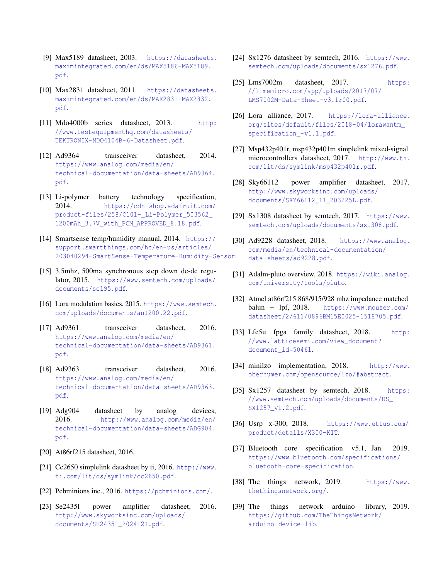- <span id="page-13-4"></span>[9] Max5189 datasheet, 2003. [https://datasheets.](https://datasheets.maximintegrated.com/en/ds/MAX5186-MAX5189.pdf) [maximintegrated.com/en/ds/MAX5186-MAX5189.](https://datasheets.maximintegrated.com/en/ds/MAX5186-MAX5189.pdf) [pdf](https://datasheets.maximintegrated.com/en/ds/MAX5186-MAX5189.pdf).
- <span id="page-13-5"></span>[10] Max2831 datasheet, 2011. [https://datasheets.](https://datasheets.maximintegrated.com/en/ds/MAX2831-MAX2832.pdf) [maximintegrated.com/en/ds/MAX2831-MAX2832.](https://datasheets.maximintegrated.com/en/ds/MAX2831-MAX2832.pdf) [pdf](https://datasheets.maximintegrated.com/en/ds/MAX2831-MAX2832.pdf).
- <span id="page-13-28"></span>[11] Mdo4000b series datasheet, 2013. [http:](http://www.testequipmenthq.com/datasheets/TEKTRONIX-MDO4104B-6-Datasheet.pdf) [//www.testequipmenthq.com/datasheets/](http://www.testequipmenthq.com/datasheets/TEKTRONIX-MDO4104B-6-Datasheet.pdf) [TEKTRONIX-MDO4104B-6-Datasheet.pdf](http://www.testequipmenthq.com/datasheets/TEKTRONIX-MDO4104B-6-Datasheet.pdf).
- <span id="page-13-1"></span>[12] Ad9364 transceiver datasheet, 2014. [https://www.analog.com/media/en/](https://www.analog.com/media/en/technical-documentation/data-sheets/AD9364.pdf) [technical-documentation/data-sheets/AD9364.](https://www.analog.com/media/en/technical-documentation/data-sheets/AD9364.pdf) [pdf](https://www.analog.com/media/en/technical-documentation/data-sheets/AD9364.pdf).
- <span id="page-13-29"></span>[13] Li-polymer battery technology specification, 2014. [https://cdn-shop.adafruit.com/](https://cdn-shop.adafruit.com/product-files/258/C101-_Li-Polymer_503562_1200mAh_3.7V_with_PCM_APPROVED_8.18.pdf) [product-files/258/C101-\\_Li-Polymer\\_503562\\_](https://cdn-shop.adafruit.com/product-files/258/C101-_Li-Polymer_503562_1200mAh_3.7V_with_PCM_APPROVED_8.18.pdf) [1200mAh\\_3.7V\\_with\\_PCM\\_APPROVED\\_8.18.pdf](https://cdn-shop.adafruit.com/product-files/258/C101-_Li-Polymer_503562_1200mAh_3.7V_with_PCM_APPROVED_8.18.pdf).
- <span id="page-13-26"></span>[14] Smartsense temp/humidity manual, 2014. [https://](https://support.smartthings.com/hc/en-us/articles/203040294-SmartSense-Temperature-Humidity-Sensor) [support.smartthings.com/hc/en-us/articles/](https://support.smartthings.com/hc/en-us/articles/203040294-SmartSense-Temperature-Humidity-Sensor) [203040294-SmartSense-Temperature-Humidity-Sensor](https://support.smartthings.com/hc/en-us/articles/203040294-SmartSense-Temperature-Humidity-Sensor).
- <span id="page-13-19"></span>[15] 3.5mhz, 500ma synchronous step down dc-dc regulator, 2015. [https://www.semtech.com/uploads/](https://www.semtech.com/uploads/documents/sc195.pdf) [documents/sc195.pdf](https://www.semtech.com/uploads/documents/sc195.pdf).
- <span id="page-13-21"></span>[16] Lora modulation basics, 2015. [https://www.semtech.](https://www.semtech.com/uploads/documents/an1200.22.pdf) [com/uploads/documents/an1200.22.pdf](https://www.semtech.com/uploads/documents/an1200.22.pdf).
- <span id="page-13-0"></span>[17] Ad9361 transceiver datasheet, 2016. [https://www.analog.com/media/en/](https://www.analog.com/media/en/technical-documentation/data-sheets/AD9361.pdf) [technical-documentation/data-sheets/AD9361.](https://www.analog.com/media/en/technical-documentation/data-sheets/AD9361.pdf) [pdf](https://www.analog.com/media/en/technical-documentation/data-sheets/AD9361.pdf).
- <span id="page-13-3"></span>[18] Ad9363 transceiver datasheet, 2016. [https://www.analog.com/media/en/](https://www.analog.com/media/en/technical-documentation/data-sheets/AD9363.pdf) [technical-documentation/data-sheets/AD9363.](https://www.analog.com/media/en/technical-documentation/data-sheets/AD9363.pdf) [pdf](https://www.analog.com/media/en/technical-documentation/data-sheets/AD9363.pdf).
- <span id="page-13-18"></span>[19] Adg904 datasheet by analog devices, 2016. [http://www.analog.com/media/en/](http://www.analog.com/media/en/technical-documentation/data-sheets/ADG904.pdf) [technical-documentation/data-sheets/ADG904.](http://www.analog.com/media/en/technical-documentation/data-sheets/ADG904.pdf) [pdf](http://www.analog.com/media/en/technical-documentation/data-sheets/ADG904.pdf).
- <span id="page-13-12"></span>[20] At86rf215 datasheet, 2016.
- <span id="page-13-8"></span>[21] Cc2650 simplelink datasheet by ti, 2016. [http://www.](http://www.ti.com/lit/ds/symlink/cc2650.pdf) [ti.com/lit/ds/symlink/cc2650.pdf](http://www.ti.com/lit/ds/symlink/cc2650.pdf).
- <span id="page-13-27"></span>[22] Pcbminions inc., 2016. <https://pcbminions.com/>.
- <span id="page-13-14"></span>[23] Se2435l power amplifier datasheet, 2016. [http://www.skyworksinc.com/uploads/](http://www.skyworksinc.com/uploads/documents/SE2435L_202412I.pdf) [documents/SE2435L\\_202412I.pdf](http://www.skyworksinc.com/uploads/documents/SE2435L_202412I.pdf).
- <span id="page-13-7"></span>[24] Sx1276 datasheet by semtech, 2016. [https://www.](https://www.semtech.com/uploads/documents/sx1276.pdf) [semtech.com/uploads/documents/sx1276.pdf](https://www.semtech.com/uploads/documents/sx1276.pdf).
- <span id="page-13-2"></span>[25] Lms7002m datasheet, 2017. [https:](https://limemicro.com/app/uploads/2017/07/LMS7002M-Data-Sheet-v3.1r00.pdf) [//limemicro.com/app/uploads/2017/07/](https://limemicro.com/app/uploads/2017/07/LMS7002M-Data-Sheet-v3.1r00.pdf) [LMS7002M-Data-Sheet-v3.1r00.pdf](https://limemicro.com/app/uploads/2017/07/LMS7002M-Data-Sheet-v3.1r00.pdf).
- <span id="page-13-22"></span>[26] Lora alliance, 2017. [https://lora-alliance.](https://lora-alliance.org/sites/default/files/2018-04/lorawantm_specification_-v1.1.pdf) [org/sites/default/files/2018-04/lorawantm\\_](https://lora-alliance.org/sites/default/files/2018-04/lorawantm_specification_-v1.1.pdf) [specification\\_-v1.1.pdf](https://lora-alliance.org/sites/default/files/2018-04/lorawantm_specification_-v1.1.pdf).
- <span id="page-13-16"></span>[27] Msp432p401r, msp432p401m simplelink mixed-signal microcontrollers datasheet, 2017. [http://www.ti.](http://www.ti.com/lit/ds/symlink/msp432p401r.pdf) [com/lit/ds/symlink/msp432p401r.pdf](http://www.ti.com/lit/ds/symlink/msp432p401r.pdf).
- <span id="page-13-15"></span>[28] Sky66112 power amplifier datasheet, 2017. [http://www.skyworksinc.com/uploads/](http://www.skyworksinc.com/uploads/documents/SKY66112_11_203225L.pdf) [documents/SKY66112\\_11\\_203225L.pdf](http://www.skyworksinc.com/uploads/documents/SKY66112_11_203225L.pdf).
- <span id="page-13-30"></span>[29] Sx1308 datasheet by semtech, 2017. [https://www.](https://www.semtech.com/uploads/documents/sx1308.pdf) [semtech.com/uploads/documents/sx1308.pdf](https://www.semtech.com/uploads/documents/sx1308.pdf).
- <span id="page-13-6"></span>[30] Ad9228 datasheet, 2018. [https://www.analog.](https://www.analog.com/media/en/technical-documentation/data-sheets/ad9228.pdf) [com/media/en/technical-documentation/](https://www.analog.com/media/en/technical-documentation/data-sheets/ad9228.pdf) [data-sheets/ad9228.pdf](https://www.analog.com/media/en/technical-documentation/data-sheets/ad9228.pdf).
- <span id="page-13-9"></span>[31] Adalm-pluto overview, 2018. [https://wiki.analog.](https://wiki.analog.com/university/tools/pluto) [com/university/tools/pluto](https://wiki.analog.com/university/tools/pluto).
- <span id="page-13-17"></span>[32] Atmel at86rf215 868/915/928 mhz impedance matched balun + lpf, 2018. [https://www.mouser.com/](https://www.mouser.com/datasheet/2/611/0896BM15E0025-1518705.pdf) [datasheet/2/611/0896BM15E0025-1518705.pdf](https://www.mouser.com/datasheet/2/611/0896BM15E0025-1518705.pdf).
- <span id="page-13-13"></span>[33] Lfe5u fpga family datasheet, 2018. [http:](http://www.latticesemi.com/view_document?document_id=50461) [//www.latticesemi.com/view\\_document?](http://www.latticesemi.com/view_document?document_id=50461) [document\\_id=50461](http://www.latticesemi.com/view_document?document_id=50461).
- <span id="page-13-20"></span>[34] minilzo implementation, 2018. [http://www.](http://www.oberhumer.com/opensource/lzo/#abstract) [oberhumer.com/opensource/lzo/#abstract](http://www.oberhumer.com/opensource/lzo/#abstract).
- <span id="page-13-11"></span>[35] Sx1257 datasheet by semtech, 2018. [https:](https://www.semtech.com/uploads/documents/DS_SX1257_V1.2.pdf) [//www.semtech.com/uploads/documents/DS\\_](https://www.semtech.com/uploads/documents/DS_SX1257_V1.2.pdf) [SX1257\\_V1.2.pdf](https://www.semtech.com/uploads/documents/DS_SX1257_V1.2.pdf).
- <span id="page-13-10"></span>[36] Usrp x-300, 2018. [https://www.ettus.com/](https://www.ettus.com/product/ details/X300-KIT) [product/details/X300-KIT](https://www.ettus.com/product/ details/X300-KIT).
- <span id="page-13-25"></span>[37] Bluetooth core specification v5.1, Jan. 2019. [https://www.bluetooth.com/specifications/](https://www.bluetooth.com/specifications/bluetooth-core-specification) [bluetooth-core-specification](https://www.bluetooth.com/specifications/bluetooth-core-specification).
- <span id="page-13-23"></span>[38] The things network, 2019. [https://www.](https://www.thethingsnetwork.org/) [thethingsnetwork.org/](https://www.thethingsnetwork.org/).
- <span id="page-13-24"></span>[39] The things network arduino library, 2019. [https://github.com/TheThingsNetwork/](https://github.com/TheThingsNetwork/arduino-device-lib) [arduino-device-lib](https://github.com/TheThingsNetwork/arduino-device-lib).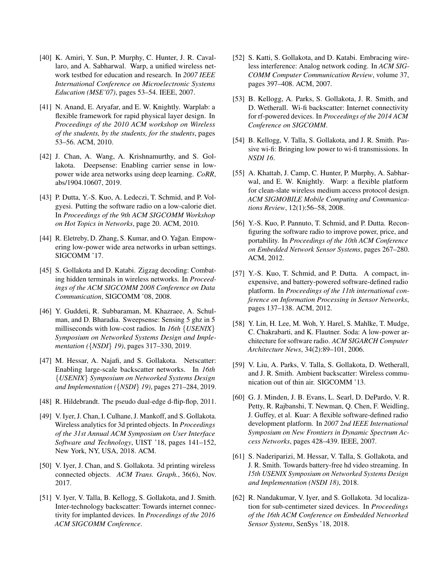- <span id="page-14-2"></span>[40] K. Amiri, Y. Sun, P. Murphy, C. Hunter, J. R. Cavallaro, and A. Sabharwal. Warp, a unified wireless network testbed for education and research. In *2007 IEEE International Conference on Microelectronic Systems Education (MSE'07)*, pages 53–54. IEEE, 2007.
- <span id="page-14-3"></span>[41] N. Anand, E. Aryafar, and E. W. Knightly. Warplab: a flexible framework for rapid physical layer design. In *Proceedings of the 2010 ACM workshop on Wireless of the students, by the students, for the students*, pages 53–56. ACM, 2010.
- <span id="page-14-14"></span>[42] J. Chan, A. Wang, A. Krishnamurthy, and S. Gollakota. Deepsense: Enabling carrier sense in lowpower wide area networks using deep learning. *CoRR*, abs/1904.10607, 2019.
- <span id="page-14-4"></span>[43] P. Dutta, Y.-S. Kuo, A. Ledeczi, T. Schmid, and P. Volgyesi. Putting the software radio on a low-calorie diet. In *Proceedings of the 9th ACM SIGCOMM Workshop on Hot Topics in Networks*, page 20. ACM, 2010.
- <span id="page-14-0"></span>[44] R. Eletreby, D. Zhang, S. Kumar, and O. Yağan. Empowering low-power wide area networks in urban settings. SIGCOMM '17.
- <span id="page-14-11"></span>[45] S. Gollakota and D. Katabi. Zigzag decoding: Combating hidden terminals in wireless networks. In *Proceedings of the ACM SIGCOMM 2008 Conference on Data Communication*, SIGCOMM '08, 2008.
- <span id="page-14-5"></span>[46] Y. Guddeti, R. Subbaraman, M. Khazraee, A. Schulman, and D. Bharadia. Sweepsense: Sensing 5 ghz in 5 milliseconds with low-cost radios. In *16th* {*USENIX*} *Symposium on Networked Systems Design and Implementation (*{*NSDI*} *19)*, pages 317–330, 2019.
- <span id="page-14-1"></span>[47] M. Hessar, A. Najafi, and S. Gollakota. Netscatter: Enabling large-scale backscatter networks. In *16th* {*USENIX*} *Symposium on Networked Systems Design and Implementation (*{*NSDI*} *19)*, pages 271–284, 2019.
- <span id="page-14-10"></span>[48] R. Hildebrandt. The pseudo dual-edge d-flip-flop, 2011.
- <span id="page-14-19"></span>[49] V. Iyer, J. Chan, I. Culhane, J. Mankoff, and S. Gollakota. Wireless analytics for 3d printed objects. In *Proceedings of the 31st Annual ACM Symposium on User Interface Software and Technology*, UIST '18, pages 141–152, New York, NY, USA, 2018. ACM.
- <span id="page-14-20"></span>[50] V. Iyer, J. Chan, and S. Gollakota. 3d printing wireless connected objects. *ACM Trans. Graph.*, 36(6), Nov. 2017.
- <span id="page-14-15"></span>[51] V. Iyer, V. Talla, B. Kellogg, S. Gollakota, and J. Smith. Inter-technology backscatter: Towards internet connectivity for implanted devices. In *Proceedings of the 2016 ACM SIGCOMM Conference*.
- <span id="page-14-12"></span>[52] S. Katti, S. Gollakota, and D. Katabi. Embracing wireless interference: Analog network coding. In *ACM SIG-COMM Computer Communication Review*, volume 37, pages 397–408. ACM, 2007.
- <span id="page-14-16"></span>[53] B. Kellogg, A. Parks, S. Gollakota, J. R. Smith, and D. Wetherall. Wi-fi backscatter: Internet connectivity for rf-powered devices. In *Proceedings of the 2014 ACM Conference on SIGCOMM*.
- <span id="page-14-17"></span>[54] B. Kellogg, V. Talla, S. Gollakota, and J. R. Smith. Passive wi-fi: Bringing low power to wi-fi transmissions. In *NSDI 16*.
- <span id="page-14-6"></span>[55] A. Khattab, J. Camp, C. Hunter, P. Murphy, A. Sabharwal, and E. W. Knightly. Warp: a flexible platform for clean-slate wireless medium access protocol design. *ACM SIGMOBILE Mobile Computing and Communications Review*, 12(1):56–58, 2008.
- <span id="page-14-9"></span>[56] Y.-S. Kuo, P. Pannuto, T. Schmid, and P. Dutta. Reconfiguring the software radio to improve power, price, and portability. In *Proceedings of the 10th ACM Conference on Embedded Network Sensor Systems*, pages 267–280. ACM, 2012.
- [57] Y.-S. Kuo, T. Schmid, and P. Dutta. A compact, inexpensive, and battery-powered software-defined radio platform. In *Proceedings of the 11th international conference on Information Processing in Sensor Networks*, pages 137–138. ACM, 2012.
- <span id="page-14-7"></span>[58] Y. Lin, H. Lee, M. Woh, Y. Harel, S. Mahlke, T. Mudge, C. Chakrabarti, and K. Flautner. Soda: A low-power architecture for software radio. *ACM SIGARCH Computer Architecture News*, 34(2):89–101, 2006.
- <span id="page-14-18"></span>[59] V. Liu, A. Parks, V. Talla, S. Gollakota, D. Wetherall, and J. R. Smith. Ambient backscatter: Wireless communication out of thin air. SIGCOMM '13.
- <span id="page-14-8"></span>[60] G. J. Minden, J. B. Evans, L. Searl, D. DePardo, V. R. Petty, R. Rajbanshi, T. Newman, Q. Chen, F. Weidling, J. Guffey, et al. Kuar: A flexible software-defined radio development platform. In *2007 2nd IEEE International Symposium on New Frontiers in Dynamic Spectrum Access Networks*, pages 428–439. IEEE, 2007.
- <span id="page-14-21"></span>[61] S. Naderiparizi, M. Hessar, V. Talla, S. Gollakota, and J. R. Smith. Towards battery-free hd video streaming. In *15th USENIX Symposium on Networked Systems Design and Implementation (NSDI 18)*, 2018.
- <span id="page-14-13"></span>[62] R. Nandakumar, V. Iyer, and S. Gollakota. 3d localization for sub-centimeter sized devices. In *Proceedings of the 16th ACM Conference on Embedded Networked Sensor Systems*, SenSys '18, 2018.